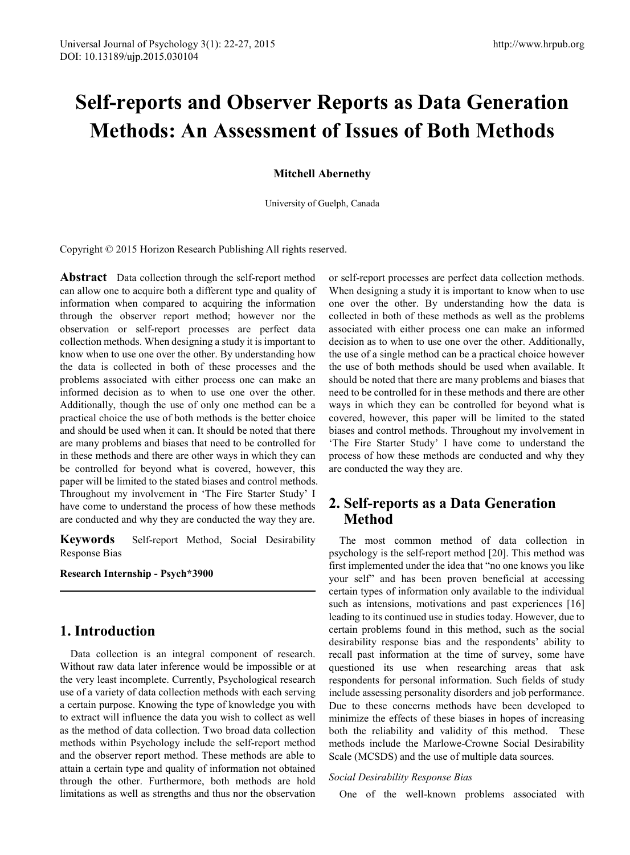# **Self-reports and Observer Reports as Data Generation Methods: An Assessment of Issues of Both Methods**

**Mitchell Abernethy**

University of Guelph, Canada

Copyright © 2015 Horizon Research Publishing All rights reserved.

**Abstract** Data collection through the self-report method can allow one to acquire both a different type and quality of information when compared to acquiring the information through the observer report method; however nor the observation or self-report processes are perfect data collection methods. When designing a study it is important to know when to use one over the other. By understanding how the data is collected in both of these processes and the problems associated with either process one can make an informed decision as to when to use one over the other. Additionally, though the use of only one method can be a practical choice the use of both methods is the better choice and should be used when it can. It should be noted that there are many problems and biases that need to be controlled for in these methods and there are other ways in which they can be controlled for beyond what is covered, however, this paper will be limited to the stated biases and control methods. Throughout my involvement in 'The Fire Starter Study' I have come to understand the process of how these methods are conducted and why they are conducted the way they are.

**Keywords** Self-report Method, Social Desirability Response Bias

**Research Internship - Psych\*3900**

# **1. Introduction**

Data collection is an integral component of research. Without raw data later inference would be impossible or at the very least incomplete. Currently, Psychological research use of a variety of data collection methods with each serving a certain purpose. Knowing the type of knowledge you with to extract will influence the data you wish to collect as well as the method of data collection. Two broad data collection methods within Psychology include the self-report method and the observer report method. These methods are able to attain a certain type and quality of information not obtained through the other. Furthermore, both methods are hold limitations as well as strengths and thus nor the observation

or self-report processes are perfect data collection methods. When designing a study it is important to know when to use one over the other. By understanding how the data is collected in both of these methods as well as the problems associated with either process one can make an informed decision as to when to use one over the other. Additionally, the use of a single method can be a practical choice however the use of both methods should be used when available. It should be noted that there are many problems and biases that need to be controlled for in these methods and there are other ways in which they can be controlled for beyond what is covered, however, this paper will be limited to the stated biases and control methods. Throughout my involvement in 'The Fire Starter Study' I have come to understand the process of how these methods are conducted and why they are conducted the way they are.

# **2. Self-reports as a Data Generation Method**

The most common method of data collection in psychology is the self-report method [20]. This method was first implemented under the idea that "no one knows you like your self" and has been proven beneficial at accessing certain types of information only available to the individual such as intensions, motivations and past experiences [16] leading to its continued use in studies today. However, due to certain problems found in this method, such as the social desirability response bias and the respondents' ability to recall past information at the time of survey, some have questioned its use when researching areas that ask respondents for personal information. Such fields of study include assessing personality disorders and job performance. Due to these concerns methods have been developed to minimize the effects of these biases in hopes of increasing both the reliability and validity of this method. These methods include the Marlowe-Crowne Social Desirability Scale (MCSDS) and the use of multiple data sources.

### *Social Desirability Response Bias*

One of the well-known problems associated with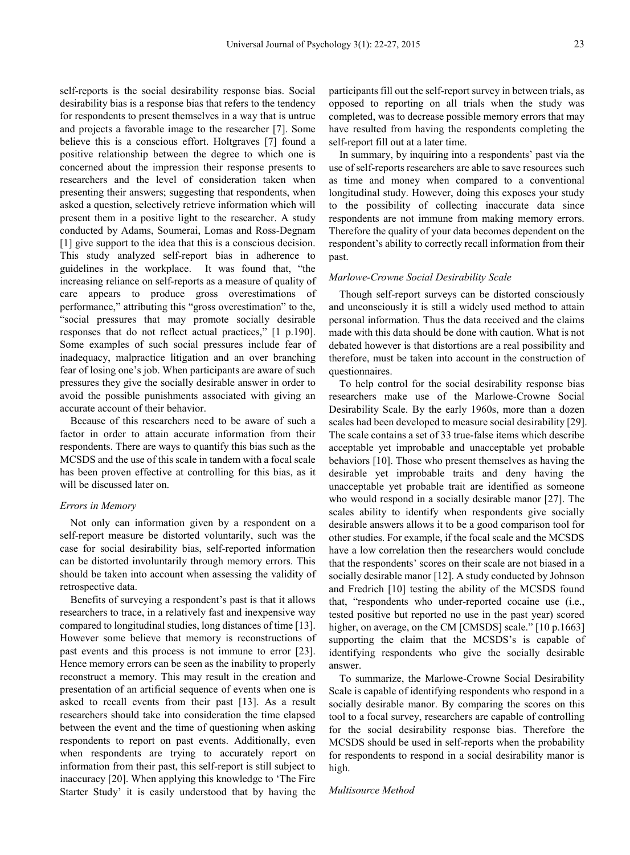self-reports is the social desirability response bias. Social desirability bias is a response bias that refers to the tendency for respondents to present themselves in a way that is untrue and projects a favorable image to the researcher [7]. Some believe this is a conscious effort. Holtgraves [7] found a positive relationship between the degree to which one is concerned about the impression their response presents to researchers and the level of consideration taken when presenting their answers; suggesting that respondents, when asked a question, selectively retrieve information which will present them in a positive light to the researcher. A study conducted by Adams, Soumerai, Lomas and Ross-Degnam [1] give support to the idea that this is a conscious decision. This study analyzed self-report bias in adherence to guidelines in the workplace. It was found that, "the increasing reliance on self-reports as a measure of quality of care appears to produce gross overestimations of performance," attributing this "gross overestimation" to the, "social pressures that may promote socially desirable responses that do not reflect actual practices," [1 p.190]. Some examples of such social pressures include fear of inadequacy, malpractice litigation and an over branching fear of losing one's job. When participants are aware of such pressures they give the socially desirable answer in order to avoid the possible punishments associated with giving an accurate account of their behavior.

Because of this researchers need to be aware of such a factor in order to attain accurate information from their respondents. There are ways to quantify this bias such as the MCSDS and the use of this scale in tandem with a focal scale has been proven effective at controlling for this bias, as it will be discussed later on.

#### *Errors in Memory*

Not only can information given by a respondent on a self-report measure be distorted voluntarily, such was the case for social desirability bias, self-reported information can be distorted involuntarily through memory errors. This should be taken into account when assessing the validity of retrospective data.

Benefits of surveying a respondent's past is that it allows researchers to trace, in a relatively fast and inexpensive way compared to longitudinal studies, long distances of time [13]. However some believe that memory is reconstructions of past events and this process is not immune to error [23]. Hence memory errors can be seen as the inability to properly reconstruct a memory. This may result in the creation and presentation of an artificial sequence of events when one is asked to recall events from their past [13]. As a result researchers should take into consideration the time elapsed between the event and the time of questioning when asking respondents to report on past events. Additionally, even when respondents are trying to accurately report on information from their past, this self-report is still subject to inaccuracy [20]. When applying this knowledge to 'The Fire Starter Study' it is easily understood that by having the

participants fill out the self-report survey in between trials, as opposed to reporting on all trials when the study was completed, was to decrease possible memory errors that may have resulted from having the respondents completing the self-report fill out at a later time.

In summary, by inquiring into a respondents' past via the use of self-reports researchers are able to save resources such as time and money when compared to a conventional longitudinal study. However, doing this exposes your study to the possibility of collecting inaccurate data since respondents are not immune from making memory errors. Therefore the quality of your data becomes dependent on the respondent's ability to correctly recall information from their past.

#### *Marlowe-Crowne Social Desirability Scale*

Though self-report surveys can be distorted consciously and unconsciously it is still a widely used method to attain personal information. Thus the data received and the claims made with this data should be done with caution. What is not debated however is that distortions are a real possibility and therefore, must be taken into account in the construction of questionnaires.

To help control for the social desirability response bias researchers make use of the Marlowe-Crowne Social Desirability Scale. By the early 1960s, more than a dozen scales had been developed to measure social desirability [29]. The scale contains a set of 33 true-false items which describe acceptable yet improbable and unacceptable yet probable behaviors [10]. Those who present themselves as having the desirable yet improbable traits and deny having the unacceptable yet probable trait are identified as someone who would respond in a socially desirable manor [27]. The scales ability to identify when respondents give socially desirable answers allows it to be a good comparison tool for other studies. For example, if the focal scale and the MCSDS have a low correlation then the researchers would conclude that the respondents' scores on their scale are not biased in a socially desirable manor [12]. A study conducted by Johnson and Fredrich [10] testing the ability of the MCSDS found that, "respondents who under-reported cocaine use (i.e., tested positive but reported no use in the past year) scored higher, on average, on the CM [CMSDS] scale." [10 p.1663] supporting the claim that the MCSDS's is capable of identifying respondents who give the socially desirable answer.

To summarize, the Marlowe-Crowne Social Desirability Scale is capable of identifying respondents who respond in a socially desirable manor. By comparing the scores on this tool to a focal survey, researchers are capable of controlling for the social desirability response bias. Therefore the MCSDS should be used in self-reports when the probability for respondents to respond in a social desirability manor is high.

#### *Multisource Method*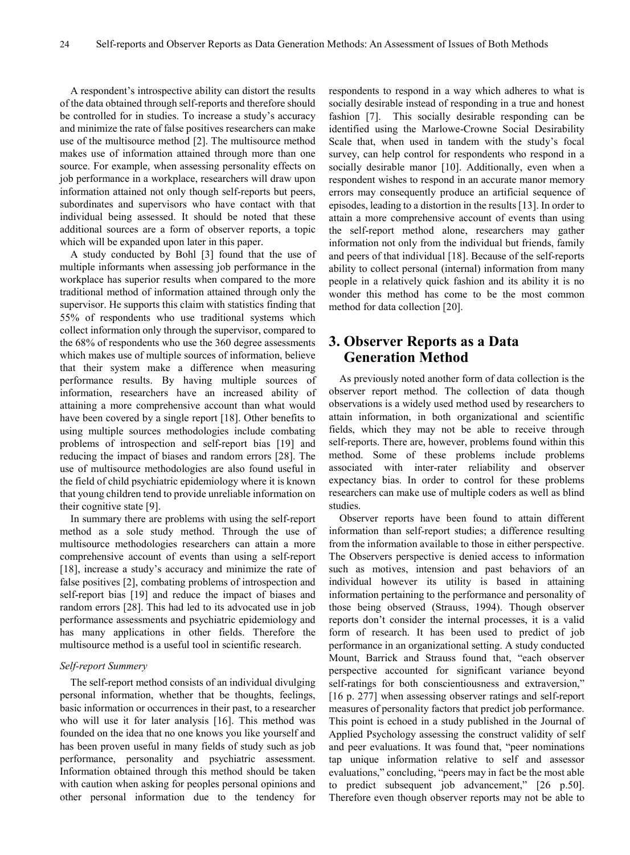A respondent's introspective ability can distort the results of the data obtained through self-reports and therefore should be controlled for in studies. To increase a study's accuracy and minimize the rate of false positives researchers can make use of the multisource method [2]. The multisource method makes use of information attained through more than one source. For example, when assessing personality effects on job performance in a workplace, researchers will draw upon information attained not only though self-reports but peers, subordinates and supervisors who have contact with that individual being assessed. It should be noted that these additional sources are a form of observer reports, a topic which will be expanded upon later in this paper.

A study conducted by Bohl [3] found that the use of multiple informants when assessing job performance in the workplace has superior results when compared to the more traditional method of information attained through only the supervisor. He supports this claim with statistics finding that 55% of respondents who use traditional systems which collect information only through the supervisor, compared to the 68% of respondents who use the 360 degree assessments which makes use of multiple sources of information, believe that their system make a difference when measuring performance results. By having multiple sources of information, researchers have an increased ability of attaining a more comprehensive account than what would have been covered by a single report [18]. Other benefits to using multiple sources methodologies include combating problems of introspection and self-report bias [19] and reducing the impact of biases and random errors [28]. The use of multisource methodologies are also found useful in the field of child psychiatric epidemiology where it is known that young children tend to provide unreliable information on their cognitive state [9].

In summary there are problems with using the self-report method as a sole study method. Through the use of multisource methodologies researchers can attain a more comprehensive account of events than using a self-report [18], increase a study's accuracy and minimize the rate of false positives [2], combating problems of introspection and self-report bias [19] and reduce the impact of biases and random errors [28]. This had led to its advocated use in job performance assessments and psychiatric epidemiology and has many applications in other fields. Therefore the multisource method is a useful tool in scientific research.

### *Self-report Summery*

The self-report method consists of an individual divulging personal information, whether that be thoughts, feelings, basic information or occurrences in their past, to a researcher who will use it for later analysis [16]. This method was founded on the idea that no one knows you like yourself and has been proven useful in many fields of study such as job performance, personality and psychiatric assessment. Information obtained through this method should be taken with caution when asking for peoples personal opinions and other personal information due to the tendency for

respondents to respond in a way which adheres to what is socially desirable instead of responding in a true and honest fashion [7]. This socially desirable responding can be identified using the Marlowe-Crowne Social Desirability Scale that, when used in tandem with the study's focal survey, can help control for respondents who respond in a socially desirable manor [10]. Additionally, even when a respondent wishes to respond in an accurate manor memory errors may consequently produce an artificial sequence of episodes, leading to a distortion in the results [13]. In order to attain a more comprehensive account of events than using the self-report method alone, researchers may gather information not only from the individual but friends, family and peers of that individual [18]. Because of the self-reports ability to collect personal (internal) information from many people in a relatively quick fashion and its ability it is no wonder this method has come to be the most common method for data collection [20].

# **3. Observer Reports as a Data Generation Method**

As previously noted another form of data collection is the observer report method. The collection of data though observations is a widely used method used by researchers to attain information, in both organizational and scientific fields, which they may not be able to receive through self-reports. There are, however, problems found within this method. Some of these problems include problems associated with inter-rater reliability and observer expectancy bias. In order to control for these problems researchers can make use of multiple coders as well as blind studies.

Observer reports have been found to attain different information than self-report studies; a difference resulting from the information available to those in either perspective. The Observers perspective is denied access to information such as motives, intension and past behaviors of an individual however its utility is based in attaining information pertaining to the performance and personality of those being observed (Strauss, 1994). Though observer reports don't consider the internal processes, it is a valid form of research. It has been used to predict of job performance in an organizational setting. A study conducted Mount, Barrick and Strauss found that, "each observer perspective accounted for significant variance beyond self-ratings for both conscientiousness and extraversion," [16 p. 277] when assessing observer ratings and self-report measures of personality factors that predict job performance. This point is echoed in a study published in the Journal of Applied Psychology assessing the construct validity of self and peer evaluations. It was found that, "peer nominations tap unique information relative to self and assessor evaluations," concluding, "peers may in fact be the most able to predict subsequent job advancement," [26 p.50]. Therefore even though observer reports may not be able to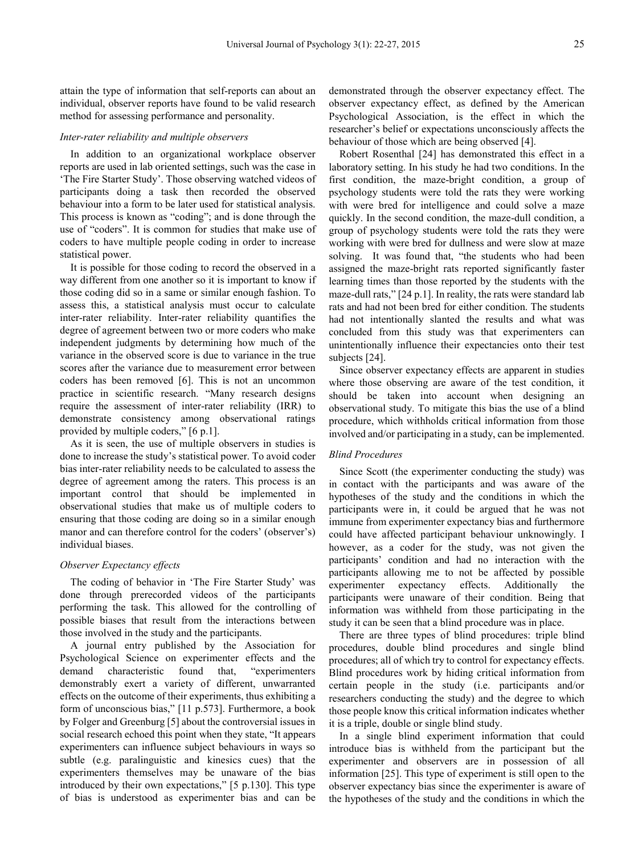attain the type of information that self-reports can about an individual, observer reports have found to be valid research method for assessing performance and personality.

#### *Inter-rater reliability and multiple observers*

In addition to an organizational workplace observer reports are used in lab oriented settings, such was the case in 'The Fire Starter Study'. Those observing watched videos of participants doing a task then recorded the observed behaviour into a form to be later used for statistical analysis. This process is known as "coding"; and is done through the use of "coders". It is common for studies that make use of coders to have multiple people coding in order to increase statistical power.

It is possible for those coding to record the observed in a way different from one another so it is important to know if those coding did so in a same or similar enough fashion. To assess this, a statistical analysis must occur to calculate inter-rater reliability. Inter-rater reliability quantifies the degree of agreement between two or more coders who make independent judgments by determining how much of the variance in the observed score is due to variance in the true scores after the variance due to measurement error between coders has been removed [6]. This is not an uncommon practice in scientific research. "Many research designs require the assessment of inter-rater reliability (IRR) to demonstrate consistency among observational ratings provided by multiple coders," [6 p.1].

As it is seen, the use of multiple observers in studies is done to increase the study's statistical power. To avoid coder bias inter-rater reliability needs to be calculated to assess the degree of agreement among the raters. This process is an important control that should be implemented in observational studies that make us of multiple coders to ensuring that those coding are doing so in a similar enough manor and can therefore control for the coders' (observer's) individual biases.

### *Observer Expectancy effects*

The coding of behavior in 'The Fire Starter Study' was done through prerecorded videos of the participants performing the task. This allowed for the controlling of possible biases that result from the interactions between those involved in the study and the participants.

A journal entry published by the Association for Psychological Science on experimenter effects and the demand characteristic found that, "experimenters demonstrably exert a variety of different, unwarranted effects on the outcome of their experiments, thus exhibiting a form of unconscious bias," [11 p.573]. Furthermore, a book by Folger and Greenburg [5] about the controversial issues in social research echoed this point when they state, "It appears experimenters can influence subject behaviours in ways so subtle (e.g. paralinguistic and kinesics cues) that the experimenters themselves may be unaware of the bias introduced by their own expectations," [5 p.130]. This type of bias is understood as experimenter bias and can be

demonstrated through the observer expectancy effect. The observer expectancy effect, as defined by the American Psychological Association, is the effect in which the researcher's belief or expectations unconsciously affects the behaviour of those which are being observed [4].

Robert Rosenthal [24] has demonstrated this effect in a laboratory setting. In his study he had two conditions. In the first condition, the maze-bright condition, a group of psychology students were told the rats they were working with were bred for intelligence and could solve a maze quickly. In the second condition, the maze-dull condition, a group of psychology students were told the rats they were working with were bred for dullness and were slow at maze solving. It was found that, "the students who had been assigned the maze-bright rats reported significantly faster learning times than those reported by the students with the maze-dull rats," [24 p.1]. In reality, the rats were standard lab rats and had not been bred for either condition. The students had not intentionally slanted the results and what was concluded from this study was that experimenters can unintentionally influence their expectancies onto their test subjects [24].

Since observer expectancy effects are apparent in studies where those observing are aware of the test condition, it should be taken into account when designing an observational study. To mitigate this bias the use of a blind procedure, which withholds critical information from those involved and/or participating in a study, can be implemented.

### *Blind Procedures*

Since Scott (the experimenter conducting the study) was in contact with the participants and was aware of the hypotheses of the study and the conditions in which the participants were in, it could be argued that he was not immune from experimenter expectancy bias and furthermore could have affected participant behaviour unknowingly. I however, as a coder for the study, was not given the participants' condition and had no interaction with the participants allowing me to not be affected by possible experimenter expectancy effects. Additionally the participants were unaware of their condition. Being that information was withheld from those participating in the study it can be seen that a blind procedure was in place.

There are three types of blind procedures: triple blind procedures, double blind procedures and single blind procedures; all of which try to control for expectancy effects. Blind procedures work by hiding critical information from certain people in the study (i.e. participants and/or researchers conducting the study) and the degree to which those people know this critical information indicates whether it is a triple, double or single blind study.

In a single blind experiment information that could introduce bias is withheld from the participant but the experimenter and observers are in possession of all information [25]. This type of experiment is still open to the observer expectancy bias since the experimenter is aware of the hypotheses of the study and the conditions in which the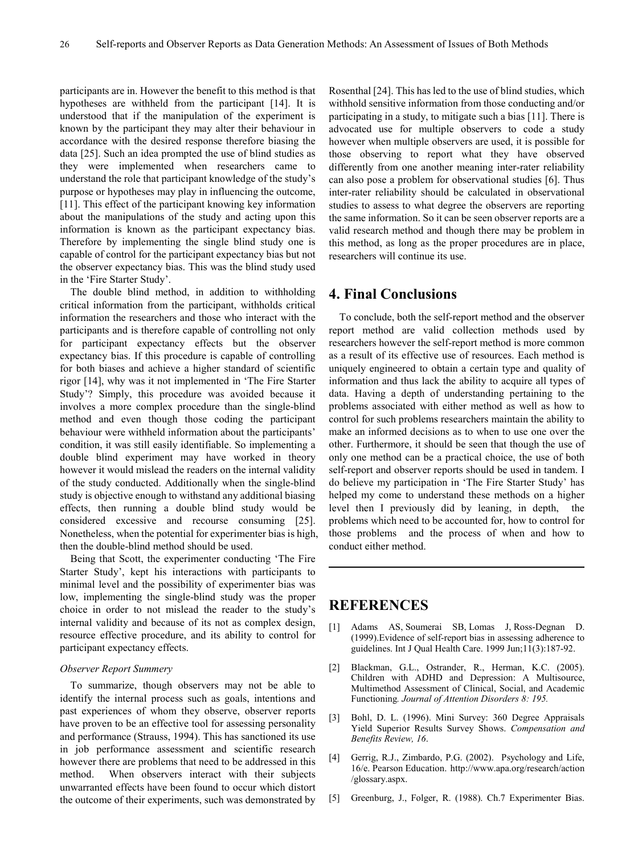participants are in. However the benefit to this method is that hypotheses are withheld from the participant [14]. It is understood that if the manipulation of the experiment is known by the participant they may alter their behaviour in accordance with the desired response therefore biasing the data [25]. Such an idea prompted the use of blind studies as they were implemented when researchers came to understand the role that participant knowledge of the study's purpose or hypotheses may play in influencing the outcome, [11]. This effect of the participant knowing key information about the manipulations of the study and acting upon this information is known as the participant expectancy bias. Therefore by implementing the single blind study one is capable of control for the participant expectancy bias but not the observer expectancy bias. This was the blind study used in the 'Fire Starter Study'.

The double blind method, in addition to withholding critical information from the participant, withholds critical information the researchers and those who interact with the participants and is therefore capable of controlling not only for participant expectancy effects but the observer expectancy bias. If this procedure is capable of controlling for both biases and achieve a higher standard of scientific rigor [14], why was it not implemented in 'The Fire Starter Study'? Simply, this procedure was avoided because it involves a more complex procedure than the single-blind method and even though those coding the participant behaviour were withheld information about the participants' condition, it was still easily identifiable. So implementing a double blind experiment may have worked in theory however it would mislead the readers on the internal validity of the study conducted. Additionally when the single-blind study is objective enough to withstand any additional biasing effects, then running a double blind study would be considered excessive and recourse consuming [25]. Nonetheless, when the potential for experimenter bias is high, then the double-blind method should be used.

Being that Scott, the experimenter conducting 'The Fire Starter Study', kept his interactions with participants to minimal level and the possibility of experimenter bias was low, implementing the single-blind study was the proper choice in order to not mislead the reader to the study's internal validity and because of its not as complex design, resource effective procedure, and its ability to control for participant expectancy effects.

#### *Observer Report Summery*

To summarize, though observers may not be able to identify the internal process such as goals, intentions and past experiences of whom they observe, observer reports have proven to be an effective tool for assessing personality and performance (Strauss, 1994). This has sanctioned its use in job performance assessment and scientific research however there are problems that need to be addressed in this method. When observers interact with their subjects unwarranted effects have been found to occur which distort the outcome of their experiments, such was demonstrated by

Rosenthal [24]. This has led to the use of blind studies, which withhold sensitive information from those conducting and/or participating in a study, to mitigate such a bias [11]. There is advocated use for multiple observers to code a study however when multiple observers are used, it is possible for those observing to report what they have observed differently from one another meaning inter-rater reliability can also pose a problem for observational studies [6]. Thus inter-rater reliability should be calculated in observational studies to assess to what degree the observers are reporting the same information. So it can be seen observer reports are a valid research method and though there may be problem in this method, as long as the proper procedures are in place, researchers will continue its use.

### **4. Final Conclusions**

To conclude, both the self-report method and the observer report method are valid collection methods used by researchers however the self-report method is more common as a result of its effective use of resources. Each method is uniquely engineered to obtain a certain type and quality of information and thus lack the ability to acquire all types of data. Having a depth of understanding pertaining to the problems associated with either method as well as how to control for such problems researchers maintain the ability to make an informed decisions as to when to use one over the other. Furthermore, it should be seen that though the use of only one method can be a practical choice, the use of both self-report and observer reports should be used in tandem. I do believe my participation in 'The Fire Starter Study' has helped my come to understand these methods on a higher level then I previously did by leaning, in depth, the problems which need to be accounted for, how to control for those problems and the process of when and how to conduct either method.

## **REFERENCES**

- [1] Adams AS, Soumerai SB, Lomas J, Ross-Degnan D. (1999).Evidence of self-report bias in assessing adherence to guidelines. Int J Qual Health Care. 1999 Jun;11(3):187-92.
- [2] Blackman, G.L., Ostrander, R., Herman, K.C. (2005). Children with ADHD and Depression: A Multisource, Multimethod Assessment of Clinical, Social, and Academic Functioning*. Journal of Attention Disorders 8: 195.*
- [3] Bohl, D. L. (1996). Mini Survey: 360 Degree Appraisals Yield Superior Results Survey Shows. *Compensation and Benefits Review, 16*.
- [4] Gerrig, R.J., Zimbardo, P.G. (2002). Psychology and Life, 16/e. Pearson Education. http://www.apa.org/research/action /glossary.aspx.
- [5] Greenburg, J., Folger, R. (1988). Ch.7 Experimenter Bias.